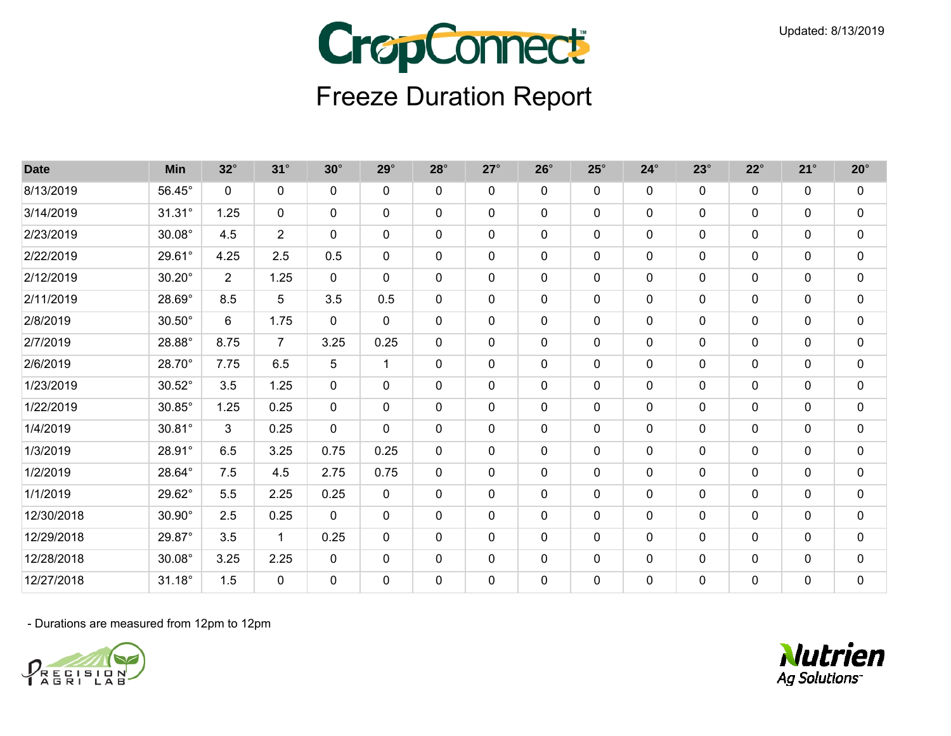

| <b>Date</b> | <b>Min</b>    | $32^\circ$     | $31^\circ$     | $30^\circ$   | $29^\circ$   | $28^\circ$   | $27^\circ$   | $26^\circ$ | $25^{\circ}$ | $24^\circ$  | $23^\circ$   | $22^{\circ}$ | $21^{\circ}$ | $20^\circ$  |
|-------------|---------------|----------------|----------------|--------------|--------------|--------------|--------------|------------|--------------|-------------|--------------|--------------|--------------|-------------|
| 8/13/2019   | 56.45°        | $\mathbf{0}$   | $\mathbf 0$    | $\mathbf{0}$ | $\mathbf{0}$ | 0            | 0            | 0          | $\mathbf 0$  | 0           | $\mathbf{0}$ | $\mathbf{0}$ | 0            | $\mathbf 0$ |
| 3/14/2019   | $31.31^\circ$ | 1.25           | 0              | $\mathbf 0$  | $\mathbf 0$  | 0            | $\mathbf 0$  | 0          | $\mathbf 0$  | $\mathbf 0$ | $\mathbf 0$  | $\mathbf 0$  | 0            | $\mathbf 0$ |
| 2/23/2019   | $30.08^\circ$ | 4.5            | $\overline{2}$ | $\mathbf{0}$ | $\mathbf 0$  | $\Omega$     | $\mathbf 0$  | 0          | $\mathbf 0$  | 0           | $\mathbf 0$  | $\mathbf{0}$ | 0            | $\pmb{0}$   |
| 2/22/2019   | 29.61°        | 4.25           | 2.5            | 0.5          | $\mathbf 0$  | $\mathbf{0}$ | $\mathbf 0$  | $\Omega$   | $\mathbf 0$  | $\mathbf 0$ | $\mathbf 0$  | $\mathbf 0$  | 0            | $\mathbf 0$ |
| 2/12/2019   | $30.20^\circ$ | $\overline{2}$ | 1.25           | $\mathbf 0$  | $\mathbf 0$  | $\mathbf 0$  | $\mathbf 0$  | 0          | $\mathbf 0$  | $\mathbf 0$ | $\mathbf 0$  | $\mathbf 0$  | $\mathbf 0$  | $\mathbf 0$ |
| 2/11/2019   | 28.69°        | 8.5            | 5              | 3.5          | 0.5          | 0            | $\mathbf 0$  | 0          | $\mathbf 0$  | $\mathbf 0$ | $\mathbf 0$  | $\mathbf 0$  | 0            | $\pmb{0}$   |
| 2/8/2019    | $30.50^\circ$ | 6              | 1.75           | $\mathbf 0$  | $\mathbf 0$  | $\mathbf{0}$ | $\mathbf 0$  | $\Omega$   | $\mathbf 0$  | $\mathbf 0$ | $\mathbf 0$  | $\mathbf 0$  | 0            | $\pmb{0}$   |
| 2/7/2019    | 28.88°        | 8.75           | $\overline{7}$ | 3.25         | 0.25         | $\mathbf{0}$ | $\mathbf 0$  | 0          | $\mathbf 0$  | $\mathbf 0$ | $\mathbf 0$  | $\mathbf 0$  | 0            | $\mathbf 0$ |
| 2/6/2019    | 28.70°        | 7.75           | 6.5            | 5            | $\mathbf{1}$ | 0            | 0            | 0          | $\mathbf 0$  | 0           | $\Omega$     | 0            | 0            | $\pmb{0}$   |
| 1/23/2019   | $30.52^\circ$ | 3.5            | 1.25           | $\mathbf 0$  | $\mathbf 0$  | 0            | $\mathbf 0$  | 0          | $\mathbf 0$  | $\mathbf 0$ | $\mathbf 0$  | 0            | 0            | $\pmb{0}$   |
| 1/22/2019   | 30.85°        | 1.25           | 0.25           | $\mathbf 0$  | $\mathbf 0$  | $\Omega$     | $\mathbf 0$  | 0          | $\mathbf 0$  | 0           | $\mathbf 0$  | $\mathbf 0$  | 0            | $\mathbf 0$ |
| 1/4/2019    | $30.81^\circ$ | 3              | 0.25           | $\mathbf{0}$ | $\mathbf{0}$ | 0            | $\mathbf 0$  | 0          | 0            | 0           | $\mathbf{0}$ | $\mathbf{0}$ | 0            | $\mathbf 0$ |
| 1/3/2019    | 28.91°        | 6.5            | 3.25           | 0.75         | 0.25         | 0            | $\mathbf 0$  | $\Omega$   | $\mathbf 0$  | 0           | $\mathbf 0$  | $\mathbf{0}$ | 0            | $\pmb{0}$   |
| 1/2/2019    | 28.64°        | 7.5            | 4.5            | 2.75         | 0.75         | $\mathbf{0}$ | $\mathbf 0$  | 0          | $\mathbf 0$  | $\mathbf 0$ | $\mathbf 0$  | $\mathbf 0$  | 0            | $\pmb{0}$   |
| 1/1/2019    | 29.62°        | 5.5            | 2.25           | 0.25         | $\mathbf 0$  | 0            | $\mathbf 0$  | 0          | $\mathbf 0$  | $\mathbf 0$ | $\mathbf 0$  | $\mathbf{0}$ | 0            | $\mathbf 0$ |
| 12/30/2018  | $30.90^\circ$ | 2.5            | 0.25           | $\Omega$     | $\mathbf{0}$ | 0            | $\mathbf{0}$ | 0          | $\mathbf 0$  | 0           | $\mathbf{0}$ | $\mathbf{0}$ | 0            | $\mathbf 0$ |
| 12/29/2018  | 29.87°        | 3.5            | 1              | 0.25         | $\mathbf 0$  | 0            | $\mathbf 0$  | $\Omega$   | $\mathbf 0$  | $\mathbf 0$ | $\Omega$     | 0            | 0            | $\mathbf 0$ |
| 12/28/2018  | $30.08^\circ$ | 3.25           | 2.25           | $\mathbf 0$  | $\mathbf 0$  | 0            | $\mathbf 0$  | 0          | $\mathbf 0$  | $\mathbf 0$ | $\mathbf 0$  | $\mathbf 0$  | 0            | $\mathbf 0$ |
| 12/27/2018  | 31.18°        | 1.5            | $\mathbf 0$    | 0            | 0            | 0            | $\mathbf 0$  | 0          | $\mathbf 0$  | $\pmb{0}$   | $\mathbf 0$  | 0            | 0            | $\pmb{0}$   |



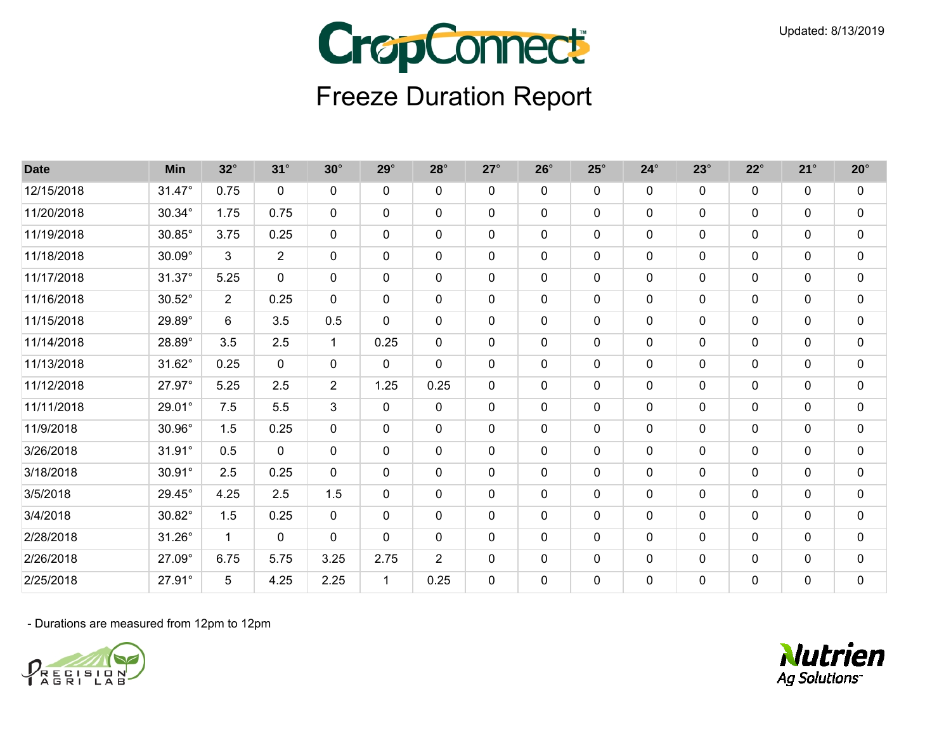

| <b>Date</b> | Min             | $32^\circ$     | $31^\circ$     | $30^\circ$     | $29^\circ$   | $28^\circ$     | $27^\circ$   | $26^\circ$ | $25^\circ$   | $24^\circ$   | $23^\circ$   | $22^{\circ}$ | $21^{\circ}$ | $20^\circ$  |
|-------------|-----------------|----------------|----------------|----------------|--------------|----------------|--------------|------------|--------------|--------------|--------------|--------------|--------------|-------------|
| 12/15/2018  | 31.47°          | 0.75           | $\mathbf 0$    | $\mathbf{0}$   | $\mathbf 0$  | 0              | $\mathbf 0$  | 0          | $\mathbf 0$  | $\mathbf 0$  | $\mathbf 0$  | $\mathbf 0$  | $\mathbf 0$  | $\mathbf 0$ |
| 11/20/2018  | 30.34°          | 1.75           | 0.75           | $\mathbf{0}$   | 0            | 0              | $\mathbf 0$  | 0          | 0            | 0            | $\mathbf{0}$ | 0            | 0            | $\mathbf 0$ |
| 11/19/2018  | $30.85^\circ$   | 3.75           | 0.25           | $\mathbf{0}$   | $\mathbf{0}$ | 0              | $\mathbf 0$  | 0          | 0            | 0            | $\mathbf{0}$ | $\mathbf{0}$ | 0            | $\pmb{0}$   |
| 11/18/2018  | $30.09^\circ$   | 3              | $\overline{2}$ | $\Omega$       | $\mathbf{0}$ | $\mathbf{0}$   | $\mathbf{0}$ | 0          | $\mathbf 0$  | 0            | $\Omega$     | 0            | 0            | $\mathbf 0$ |
| 11/17/2018  | $31.37^\circ$   | 5.25           | $\mathbf 0$    | $\mathbf 0$    | $\mathbf 0$  | 0              | $\mathbf 0$  | 0          | $\mathbf 0$  | $\mathbf 0$  | $\mathbf 0$  | $\mathbf 0$  | 0            | $\pmb{0}$   |
| 11/16/2018  | $30.52^\circ$   | $\overline{2}$ | 0.25           | $\mathbf 0$    | $\mathbf 0$  | $\mathbf 0$    | $\mathbf 0$  | 0          | $\mathbf 0$  | $\mathbf 0$  | $\mathbf 0$  | $\mathbf 0$  | 0            | $\pmb{0}$   |
| 11/15/2018  | 29.89°          | 6              | 3.5            | 0.5            | $\mathbf{0}$ | 0              | $\mathbf 0$  | 0          | $\mathbf 0$  | 0            | $\mathbf{0}$ | $\mathbf{0}$ | 0            | 0           |
| 11/14/2018  | 28.89°          | 3.5            | 2.5            | 1              | 0.25         | 0              | $\mathbf 0$  | 0          | $\mathbf 0$  | 0            | $\mathbf{0}$ | 0            | 0            | $\pmb{0}$   |
| 11/13/2018  | 31.62°          | 0.25           | $\mathbf 0$    | $\Omega$       | $\mathbf 0$  | 0              | $\mathbf 0$  | 0          | $\mathbf 0$  | 0            | $\Omega$     | $\mathbf 0$  | 0            | $\mathbf 0$ |
| 11/12/2018  | 27.97°          | 5.25           | 2.5            | $\overline{2}$ | 1.25         | 0.25           | $\mathbf 0$  | 0          | $\mathbf 0$  | $\mathbf 0$  | $\mathbf 0$  | $\mathbf 0$  | 0            | $\pmb{0}$   |
| 11/11/2018  | $29.01^{\circ}$ | 7.5            | 5.5            | 3              | $\mathbf 0$  | $\mathbf{0}$   | $\mathbf 0$  | 0          | $\mathbf 0$  | $\mathbf{0}$ | $\mathbf 0$  | $\mathbf 0$  | 0            | $\mathbf 0$ |
| 11/9/2018   | 30.96°          | 1.5            | 0.25           | $\Omega$       | $\mathbf{0}$ | $\mathbf{0}$   | $\mathbf 0$  | 0          | $\mathbf{0}$ | 0            | $\mathbf{0}$ | $\mathbf{0}$ | $\mathbf{0}$ | $\mathbf 0$ |
| 3/26/2018   | $31.91^\circ$   | 0.5            | $\mathbf 0$    | $\mathbf{0}$   | $\mathbf 0$  | 0              | $\mathbf 0$  | 0          | $\mathbf 0$  | $\mathbf 0$  | $\mathbf 0$  | $\mathbf 0$  | 0            | $\pmb{0}$   |
| 3/18/2018   | 30.91°          | 2.5            | 0.25           | $\mathbf 0$    | $\mathbf 0$  | $\mathbf{0}$   | $\mathbf 0$  | 0          | $\mathbf 0$  | $\mathbf 0$  | $\mathbf 0$  | $\mathbf 0$  | $\mathbf{0}$ | $\pmb{0}$   |
| 3/5/2018    | 29.45°          | 4.25           | 2.5            | 1.5            | $\mathbf 0$  | $\mathbf{0}$   | $\mathbf 0$  | 0          | $\mathbf 0$  | $\mathbf 0$  | $\mathbf 0$  | $\mathbf 0$  | 0            | $\mathbf 0$ |
| 3/4/2018    | 30.82°          | 1.5            | 0.25           | $\mathbf 0$    | $\mathbf 0$  | $\mathbf{0}$   | $\mathbf 0$  | 0          | $\mathbf 0$  | $\mathbf 0$  | $\mathbf 0$  | $\mathbf{0}$ | 0            | $\mathbf 0$ |
| 2/28/2018   | $31.26^\circ$   | $\overline{1}$ | $\mathbf 0$    | $\mathbf 0$    | 0            | 0              | $\mathbf 0$  | 0          | $\mathbf 0$  | $\mathbf 0$  | $\mathbf 0$  | 0            | 0            | $\mathbf 0$ |
| 2/26/2018   | 27.09°          | 6.75           | 5.75           | 3.25           | 2.75         | $\overline{2}$ | $\mathbf 0$  | 0          | 0            | 0            | $\mathbf{0}$ | $\mathbf 0$  | 0            | $\mathbf 0$ |
| 2/25/2018   | 27.91°          | 5              | 4.25           | 2.25           | $\mathbf{1}$ | 0.25           | $\mathbf 0$  | 0          | $\mathbf 0$  | $\mathbf 0$  | $\mathbf 0$  | 0            | 0            | $\pmb{0}$   |



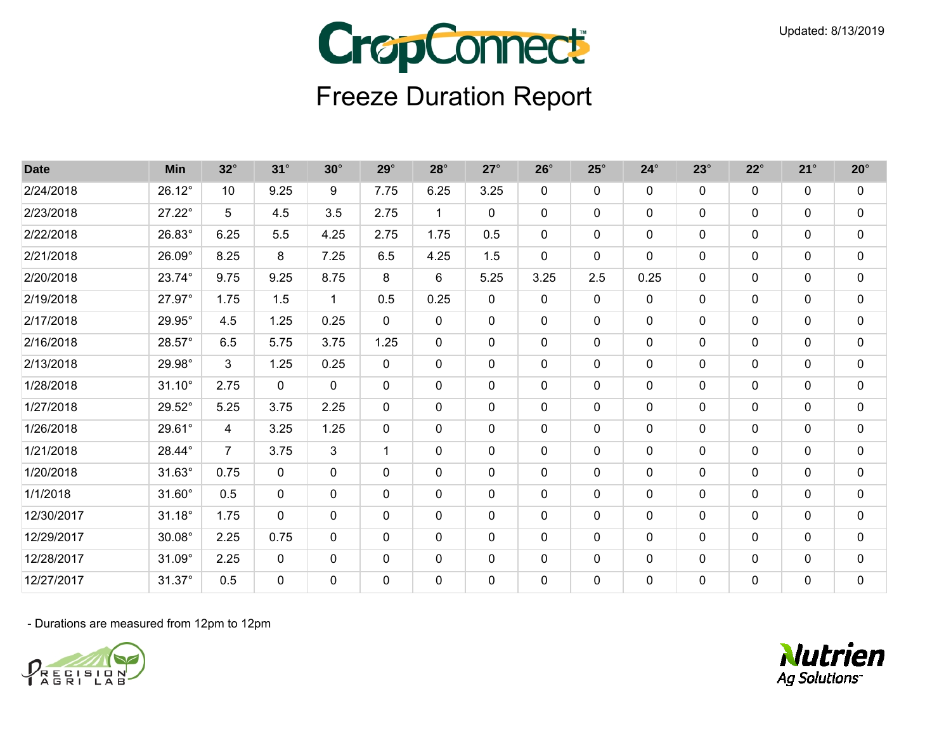

| <b>Date</b> | <b>Min</b>      | $32^\circ$     | $31^\circ$  | $30^\circ$   | $29^\circ$   | $28^\circ$   | $27^\circ$   | $26^\circ$  | $25^{\circ}$ | $24^\circ$   | $23^\circ$   | $22^{\circ}$ | $21^{\circ}$ | $20^\circ$  |
|-------------|-----------------|----------------|-------------|--------------|--------------|--------------|--------------|-------------|--------------|--------------|--------------|--------------|--------------|-------------|
| 2/24/2018   | 26.12°          | 10             | 9.25        | 9            | 7.75         | 6.25         | 3.25         | $\Omega$    | $\mathbf{0}$ | 0            | $\Omega$     | $\mathbf{0}$ | 0            | 0           |
| 2/23/2018   | $27.22^\circ$   | 5              | 4.5         | 3.5          | 2.75         | 1            | $\mathbf 0$  | 0           | $\mathbf 0$  | 0            | $\mathbf 0$  | $\mathbf{0}$ | 0            | $\mathbf 0$ |
| 2/22/2018   | 26.83°          | 6.25           | 5.5         | 4.25         | 2.75         | 1.75         | 0.5          | $\Omega$    | $\mathbf 0$  | 0            | $\mathbf 0$  | $\mathbf{0}$ | 0            | $\pmb{0}$   |
| 2/21/2018   | 26.09°          | 8.25           | 8           | 7.25         | 6.5          | 4.25         | 1.5          | 0           | $\mathbf 0$  | 0            | $\mathbf 0$  | $\mathbf 0$  | 0            | $\mathbf 0$ |
| 2/20/2018   | 23.74°          | 9.75           | 9.25        | 8.75         | 8            | 6            | 5.25         | 3.25        | 2.5          | 0.25         | $\Omega$     | $\mathbf{0}$ | 0            | $\pmb{0}$   |
| 2/19/2018   | 27.97°          | 1.75           | 1.5         | $\mathbf{1}$ | 0.5          | 0.25         | $\mathbf 0$  | $\mathbf 0$ | $\mathbf 0$  | $\mathbf 0$  | $\mathbf 0$  | $\mathbf 0$  | 0            | $\mathbf 0$ |
| 2/17/2018   | 29.95°          | 4.5            | 1.25        | 0.25         | $\mathbf 0$  | $\mathbf{0}$ | 0            | 0           | $\mathbf 0$  | 0            | $\mathbf 0$  | $\mathbf{0}$ | 0            | $\pmb{0}$   |
| 2/16/2018   | 28.57°          | 6.5            | 5.75        | 3.75         | 1.25         | $\mathbf{0}$ | $\mathbf 0$  | 0           | $\mathbf 0$  | $\mathbf 0$  | $\mathbf 0$  | $\mathbf{0}$ | 0            | $\mathbf 0$ |
| 2/13/2018   | 29.98°          | 3              | 1.25        | 0.25         | $\mathbf{0}$ | 0            | $\mathbf{0}$ | 0           | $\mathbf{0}$ | 0            | $\Omega$     | 0            | 0            | 0           |
| 1/28/2018   | $31.10^{\circ}$ | 2.75           | 0           | $\mathbf 0$  | $\mathbf 0$  | 0            | $\mathbf 0$  | $\Omega$    | 0            | 0            | $\mathbf 0$  | 0            | 0            | $\pmb{0}$   |
| 1/27/2018   | 29.52°          | 5.25           | 3.75        | 2.25         | $\mathbf 0$  | 0            | $\mathbf 0$  | 0           | $\mathbf 0$  | 0            | $\mathbf 0$  | $\mathbf{0}$ | 0            | $\mathbf 0$ |
| 1/26/2018   | 29.61°          | 4              | 3.25        | 1.25         | $\mathbf{0}$ | $\mathbf{0}$ | $\mathbf{0}$ | $\Omega$    | $\mathbf{0}$ | $\mathbf{0}$ | $\Omega$     | $\mathbf{0}$ | 0            | $\pmb{0}$   |
| 1/21/2018   | 28.44°          | $\overline{7}$ | 3.75        | 3            | $\mathbf{1}$ | $\Omega$     | $\mathbf 0$  | 0           | $\mathbf 0$  | $\mathbf 0$  | $\mathbf 0$  | $\mathbf 0$  | 0            | $\mathbf 0$ |
| 1/20/2018   | $31.63^\circ$   | 0.75           | $\mathbf 0$ | $\mathbf{0}$ | $\mathbf 0$  | $\Omega$     | $\mathbf 0$  | 0           | $\mathbf 0$  | $\mathbf 0$  | $\mathbf 0$  | $\mathbf 0$  | 0            | $\pmb{0}$   |
| 1/1/2018    | $31.60^\circ$   | 0.5            | $\mathbf 0$ | $\mathbf 0$  | $\mathbf 0$  | 0            | $\mathbf 0$  | 0           | $\mathbf 0$  | $\mathbf 0$  | $\mathbf 0$  | $\mathbf 0$  | 0            | $\mathbf 0$ |
| 12/30/2017  | $31.18^\circ$   | 1.75           | 0           | $\mathbf{0}$ | $\mathbf{0}$ | 0            | $\mathbf{0}$ | 0           | $\mathbf 0$  | 0            | $\Omega$     | 0            | 0            | $\mathbf 0$ |
| 12/29/2017  | $30.08^\circ$   | 2.25           | 0.75        | $\mathbf 0$  | $\mathbf 0$  | $\Omega$     | $\mathbf 0$  | $\Omega$    | $\mathbf 0$  | $\mathbf 0$  | $\Omega$     | $\mathbf 0$  | 0            | $\mathbf 0$ |
| 12/28/2017  | $31.09^\circ$   | 2.25           | 0           | 0            | $\mathbf 0$  | 0            | $\mathbf 0$  | 0           | $\mathbf 0$  | 0            | $\mathbf 0$  | $\mathbf 0$  | 0            | $\mathbf 0$ |
| 12/27/2017  | 31.37°          | 0.5            | 0           | $\mathbf{0}$ | $\mathbf{0}$ | 0            | $\mathbf{0}$ | 0           | $\mathbf{0}$ | 0            | $\mathbf{0}$ | 0            | 0            | $\mathbf 0$ |



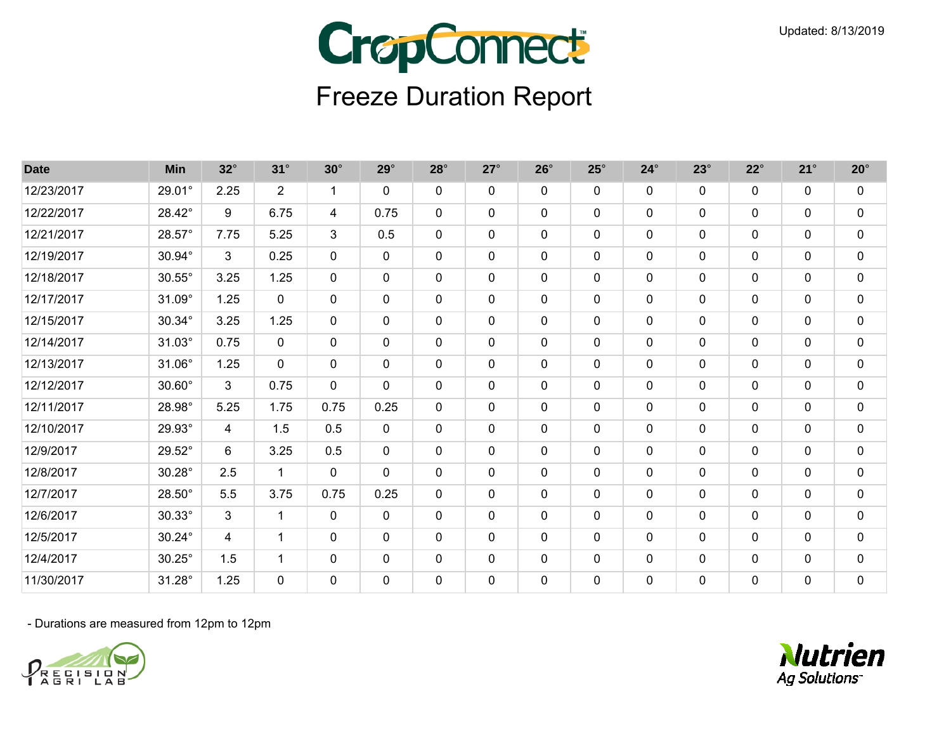

| <b>Date</b> | <b>Min</b>    | $32^\circ$ | $31^\circ$     | $30^\circ$   | $29^\circ$   | $28^\circ$   | $27^\circ$   | $26^\circ$ | $25^\circ$   | $24^\circ$  | $23^\circ$   | $22^{\circ}$ | $21^{\circ}$ | $20^\circ$  |
|-------------|---------------|------------|----------------|--------------|--------------|--------------|--------------|------------|--------------|-------------|--------------|--------------|--------------|-------------|
| 12/23/2017  | 29.01°        | 2.25       | $\overline{2}$ | 1            | $\mathbf{0}$ | 0            | $\mathbf{0}$ | 0          | $\mathbf 0$  | 0           | $\mathbf{0}$ | $\mathbf 0$  | 0            | 0           |
| 12/22/2017  | 28.42°        | 9          | 6.75           | 4            | 0.75         | 0            | $\mathbf 0$  | 0          | $\mathbf 0$  | $\mathbf 0$ | $\mathbf 0$  | $\mathbf 0$  | 0            | $\mathbf 0$ |
| 12/21/2017  | 28.57°        | 7.75       | 5.25           | 3            | 0.5          | 0            | $\mathbf 0$  | 0          | 0            | $\mathbf 0$ | $\mathbf{0}$ | 0            | 0            | $\pmb{0}$   |
| 12/19/2017  | 30.94°        | 3          | 0.25           | $\mathbf 0$  | $\mathbf{0}$ | 0            | $\mathbf 0$  | 0          | $\mathbf 0$  | $\mathbf 0$ | $\mathbf 0$  | $\mathbf 0$  | 0            | $\mathbf 0$ |
| 12/18/2017  | $30.55^\circ$ | 3.25       | 1.25           | $\mathbf 0$  | $\mathbf 0$  | $\mathbf 0$  | $\mathbf 0$  | 0          | $\mathbf 0$  | $\mathbf 0$ | $\mathbf 0$  | $\mathbf 0$  | $\mathbf 0$  | $\mathbf 0$ |
| 12/17/2017  | $31.09^\circ$ | 1.25       | $\mathbf 0$    | $\mathbf 0$  | 0            | 0            | $\mathbf 0$  | 0          | $\mathbf 0$  | $\mathbf 0$ | $\mathbf 0$  | $\mathbf 0$  | 0            | $\pmb{0}$   |
| 12/15/2017  | 30.34°        | 3.25       | 1.25           | $\mathbf 0$  | $\mathbf{0}$ | 0            | $\mathbf 0$  | $\Omega$   | $\mathbf 0$  | $\mathbf 0$ | $\mathbf 0$  | $\mathbf{0}$ | $\mathbf{0}$ | $\pmb{0}$   |
| 12/14/2017  | $31.03^\circ$ | 0.75       | 0              | $\mathbf 0$  | $\mathbf{0}$ | 0            | $\mathbf{0}$ | 0          | $\mathbf 0$  | $\mathbf 0$ | $\mathbf 0$  | $\mathbf 0$  | 0            | $\mathbf 0$ |
| 12/13/2017  | 31.06°        | 1.25       | 0              | $\mathbf{0}$ | $\mathbf{0}$ | 0            | $\mathbf 0$  | 0          | $\mathbf 0$  | 0           | $\Omega$     | $\mathbf 0$  | 0            | 0           |
| 12/12/2017  | $30.60^\circ$ | 3          | 0.75           | $\mathbf 0$  | $\mathbf{0}$ | 0            | 0            | 0          | 0            | 0           | $\mathbf{0}$ | 0            | 0            | $\pmb{0}$   |
| 12/11/2017  | 28.98°        | 5.25       | 1.75           | 0.75         | 0.25         | $\mathbf{0}$ | $\mathbf{0}$ | 0          | $\mathbf{0}$ | 0           | $\mathbf{0}$ | $\mathbf 0$  | 0            | $\mathbf 0$ |
| 12/10/2017  | 29.93°        | 4          | 1.5            | 0.5          | $\mathbf{0}$ | 0            | $\mathbf 0$  | 0          | $\mathbf 0$  | 0           | $\mathbf{0}$ | 0            | 0            | 0           |
| 12/9/2017   | 29.52°        | 6          | 3.25           | 0.5          | $\mathbf{0}$ | 0            | $\mathbf 0$  | 0          | $\mathbf 0$  | 0           | $\mathbf 0$  | $\mathbf 0$  | 0            | $\pmb{0}$   |
| 12/8/2017   | $30.28^\circ$ | 2.5        | $\mathbf{1}$   | $\mathbf 0$  | $\mathbf{0}$ | 0            | $\mathbf 0$  | 0          | $\mathbf 0$  | $\mathbf 0$ | $\mathbf 0$  | $\mathbf 0$  | 0            | $\pmb{0}$   |
| 12/7/2017   | $28.50^\circ$ | 5.5        | 3.75           | 0.75         | 0.25         | 0            | $\mathbf 0$  | 0          | $\mathbf 0$  | $\mathbf 0$ | $\mathbf 0$  | $\mathbf 0$  | 0            | $\mathbf 0$ |
| 12/6/2017   | $30.33^\circ$ | 3          | 1              | $\mathbf{0}$ | $\mathbf{0}$ | 0            | $\mathbf{0}$ | 0          | $\mathbf 0$  | 0           | $\Omega$     | $\mathbf 0$  | 0            | $\mathbf 0$ |
| 12/5/2017   | $30.24^\circ$ | 4          | 1              | $\Omega$     | $\mathbf 0$  | 0            | $\mathbf 0$  | $\Omega$   | $\mathbf 0$  | $\mathbf 0$ | $\Omega$     | 0            | 0            | $\mathbf 0$ |
| 12/4/2017   | $30.25^\circ$ | 1.5        | $\mathbf{1}$   | $\mathbf 0$  | $\mathbf 0$  | 0            | $\mathbf 0$  | 0          | $\mathbf 0$  | $\mathbf 0$ | $\mathbf 0$  | $\mathbf 0$  | 0            | $\mathbf 0$ |
| 11/30/2017  | $31.28^\circ$ | 1.25       | 0              | 0            | 0            | 0            | $\mathbf 0$  | 0          | 0            | 0           | $\mathbf{0}$ | 0            | 0            | $\pmb{0}$   |